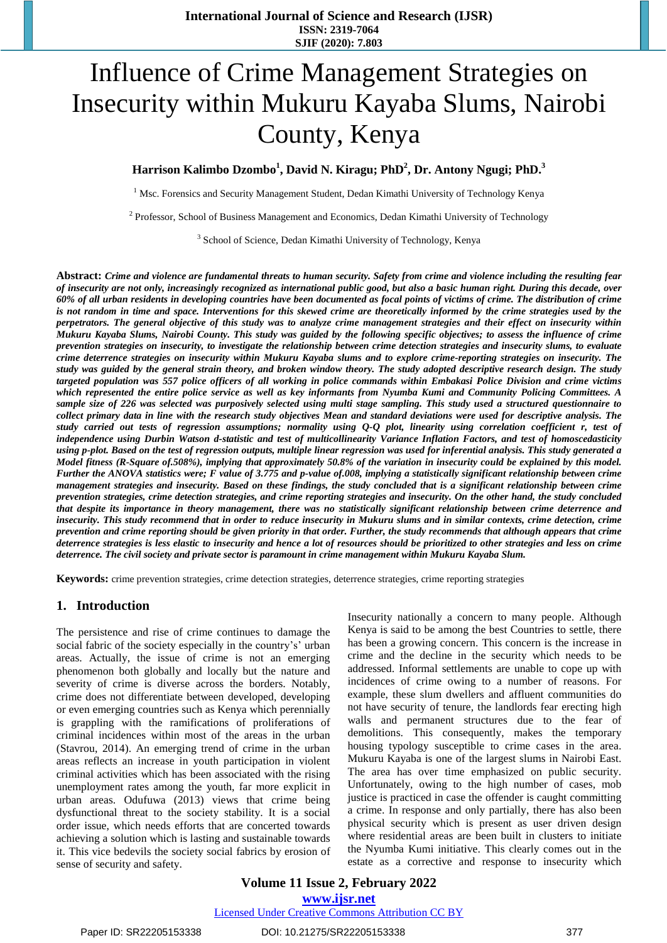# Influence of Crime Management Strategies on Insecurity within Mukuru Kayaba Slums, Nairobi County, Kenya

# **Harrison Kalimbo Dzombo<sup>1</sup> , David N. Kiragu; PhD<sup>2</sup> , Dr. Antony Ngugi; PhD. 3**

<sup>1</sup> Msc. Forensics and Security Management Student, Dedan Kimathi University of Technology Kenya

<sup>2</sup> Professor, School of Business Management and Economics, Dedan Kimathi University of Technology

<sup>3</sup> School of Science, Dedan Kimathi University of Technology, Kenya

Abstract: Crime and violence are fundamental threats to human security. Safety from crime and violence including the resulting fear of insecurity are not only, increasingly recognized as international public good, but also a basic human right. During this decade, over 60% of all urban residents in developing countries have been documented as focal points of victims of crime. The distribution of crime is not random in time and space. Interventions for this skewed crime are theoretically informed by the crime strategies used by the perpetrators. The general objective of this study was to analyze crime management strategies and their effect on insecurity within Mukuru Kayaba Slums, Nairobi County. This study was guided by the following specific objectives; to assess the influence of crime prevention strategies on insecurity, to investigate the relationship between crime detection strategies and insecurity slums, to evaluate crime deterrence strategies on insecurity within Mukuru Kayaba slums and to explore crime-reporting strategies on insecurity. The study was guided by the general strain theory, and broken window theory. The study adopted descriptive research design. The study targeted population was 557 police officers of all working in police commands within Embakasi Police Division and crime victims which represented the entire police service as well as key informants from Nyumba Kumi and Community Policing Committees. A sample size of 226 was selected was purposively selected using multi stage sampling. This study used a structured questionnaire to collect primary data in line with the research study objectives Mean and standard deviations were used for descriptive analysis. The study carried out tests of regression assumptions; normality using O-O plot, linearity using correlation coefficient r, test of independence using Durbin Watson d-statistic and test of multicollinearity Variance Inflation Factors, and test of homoscedasticity using p-plot. Based on the test of regression outputs, multiple linear regression was used for inferential analysis. This study generated a Model fitness (R-Square of 508%), implying that approximately 50.8% of the variation in insecurity could be explained by this model. Further the ANOVA statistics were; F value of 3.775 and p-value of 008, implying a statistically significant relationship between crime management strategies and insecurity. Based on these findings, the study concluded that is a significant relationship between crime prevention strategies, crime detection strategies, and crime reporting strategies and insecurity. On the other hand, the study concluded that despite its importance in theory management, there was no statistically significant relationship between crime deterrence and insecurity. This study recommend that in order to reduce insecurity in Mukuru slums and in similar contexts, crime detection, crime prevention and crime reporting should be given priority in that order. Further, the study recommends that although appears that crime deterrence strategies is less elastic to insecurity and hence a lot of resources should be prioritized to other strategies and less on crime *deterrence. The civil society and private sector is paramount in crime management within Mukuru Kayaba Slum.*

**Keywords:** crime prevention strategies, crime detection strategies, deterrence strategies, crime reporting strategies

#### **1. Introduction**

The persistence and rise of crime continues to damage the social fabric of the society especially in the country's' urban areas. Actually, the issue of crime is not an emerging phenomenon both globally and locally but the nature and severity of crime is diverse across the borders. Notably, crime does not differentiate between developed, developing or even emerging countries such as Kenya which perennially is grappling with the ramifications of proliferations of criminal incidences within most of the areas in the urban (Stavrou, 2014). An emerging trend of crime in the urban areas reflects an increase in youth participation in violent criminal activities which has been associated with the rising unemployment rates among the youth, far more explicit in urban areas. Odufuwa (2013) views that crime being dysfunctional threat to the society stability. It is a social order issue, which needs efforts that are concerted towards achieving a solution which is lasting and sustainable towards it. This vice bedevils the society social fabrics by erosion of sense of security and safety.

Insecurity nationally a concern to many people. Although Kenya is said to be among the best Countries to settle, there has been a growing concern. This concern is the increase in crime and the decline in the security which needs to be addressed. Informal settlements are unable to cope up with incidences of crime owing to a number of reasons. For example, these slum dwellers and affluent communities do not have security of tenure, the landlords fear erecting high walls and permanent structures due to the fear of demolitions. This consequently, makes the temporary housing typology susceptible to crime cases in the area. Mukuru Kayaba is one of the largest slums in Nairobi East. The area has over time emphasized on public security. Unfortunately, owing to the high number of cases, mob justice is practiced in case the offender is caught committing a crime. In response and only partially, there has also been physical security which is present as user driven design where residential areas are been built in clusters to initiate the Nyumba Kumi initiative. This clearly comes out in the estate as a corrective and response to insecurity which

# **Volume 11 Issue 2, February 2022 www.ijsr.net**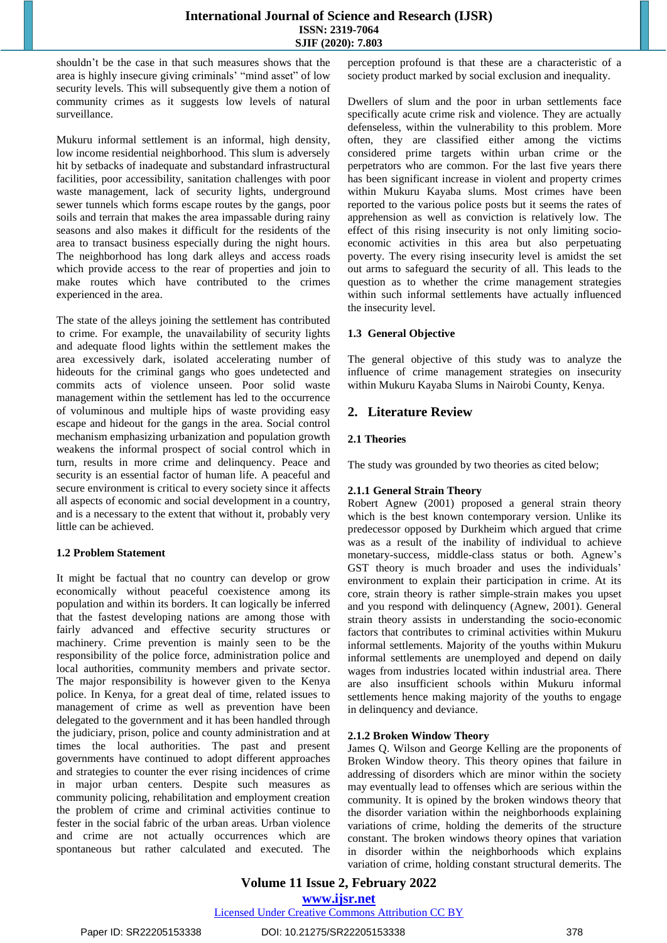shouldn't be the case in that such measures shows that the area is highly insecure giving criminals' "mind asset" of low security levels. This will subsequently give them a notion of community crimes as it suggests low levels of natural surveillance.

Mukuru informal settlement is an informal, high density, low income residential neighborhood. This slum is adversely hit by setbacks of inadequate and substandard infrastructural facilities, poor accessibility, sanitation challenges with poor waste management, lack of security lights, underground sewer tunnels which forms escape routes by the gangs, poor soils and terrain that makes the area impassable during rainy seasons and also makes it difficult for the residents of the area to transact business especially during the night hours. The neighborhood has long dark alleys and access roads which provide access to the rear of properties and join to make routes which have contributed to the crimes experienced in the area.

The state of the alleys joining the settlement has contributed to crime. For example, the unavailability of security lights and adequate flood lights within the settlement makes the area excessively dark, isolated accelerating number of hideouts for the criminal gangs who goes undetected and commits acts of violence unseen. Poor solid waste management within the settlement has led to the occurrence of voluminous and multiple hips of waste providing easy escape and hideout for the gangs in the area. Social control mechanism emphasizing urbanization and population growth weakens the informal prospect of social control which in turn, results in more crime and delinquency. Peace and security is an essential factor of human life. A peaceful and secure environment is critical to every society since it affects all aspects of economic and social development in a country, and is a necessary to the extent that without it, probably very little can be achieved.

## **1.2 Problem Statement**

It might be factual that no country can develop or grow economically without peaceful coexistence among its population and within its borders. It can logically be inferred that the fastest developing nations are among those with fairly advanced and effective security structures or machinery. Crime prevention is mainly seen to be the responsibility of the police force, administration police and local authorities, community members and private sector. The major responsibility is however given to the Kenya police. In Kenya, for a great deal of time, related issues to management of crime as well as prevention have been delegated to the government and it has been handled through the judiciary, prison, police and county administration and at times the local authorities. The past and present governments have continued to adopt different approaches and strategies to counter the ever rising incidences of crime in major urban centers. Despite such measures as community policing, rehabilitation and employment creation the problem of crime and criminal activities continue to fester in the social fabric of the urban areas. Urban violence and crime are not actually occurrences which are spontaneous but rather calculated and executed. The perception profound is that these are a characteristic of a society product marked by social exclusion and inequality.

Dwellers of slum and the poor in urban settlements face specifically acute crime risk and violence. They are actually defenseless, within the vulnerability to this problem. More often, they are classified either among the victims considered prime targets within urban crime or the perpetrators who are common. For the last five years there has been significant increase in violent and property crimes within Mukuru Kayaba slums. Most crimes have been reported to the various police posts but it seems the rates of apprehension as well as conviction is relatively low. The effect of this rising insecurity is not only limiting socioeconomic activities in this area but also perpetuating poverty. The every rising insecurity level is amidst the set out arms to safeguard the security of all. This leads to the question as to whether the crime management strategies within such informal settlements have actually influenced the insecurity level.

# **1.3 General Objective**

The general objective of this study was to analyze the influence of crime management strategies on insecurity within Mukuru Kayaba Slums in Nairobi County, Kenya.

# **2. Literature Review**

# **2.1 Theories**

The study was grounded by two theories as cited below;

## **2.1.1 General Strain Theory**

Robert Agnew (2001) proposed a general strain theory which is the best known contemporary version. Unlike its predecessor opposed by Durkheim which argued that crime was as a result of the inability of individual to achieve monetary-success, middle-class status or both. Agnew's GST theory is much broader and uses the individuals' environment to explain their participation in crime. At its core, strain theory is rather simple-strain makes you upset and you respond with delinquency (Agnew, 2001). General strain theory assists in understanding the socio-economic factors that contributes to criminal activities within Mukuru informal settlements. Majority of the youths within Mukuru informal settlements are unemployed and depend on daily wages from industries located within industrial area. There are also insufficient schools within Mukuru informal settlements hence making majority of the youths to engage in delinquency and deviance.

## **2.1.2 Broken Window Theory**

James Q. Wilson and George Kelling are the proponents of Broken Window theory. This theory opines that failure in addressing of disorders which are minor within the society may eventually lead to offenses which are serious within the community. It is opined by the broken windows theory that the disorder variation within the neighborhoods explaining variations of crime, holding the demerits of the structure constant. The broken windows theory opines that variation in disorder within the neighborhoods which explains variation of crime, holding constant structural demerits. The

**Volume 11 Issue 2, February 2022 www.ijsr.net**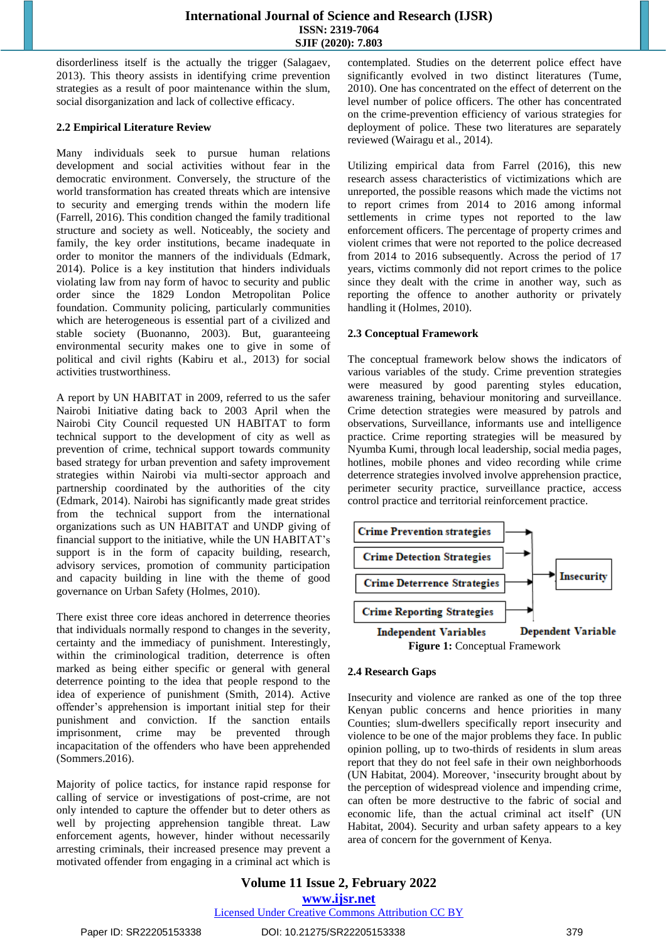disorderliness itself is the actually the trigger (Salagaev, 2013). This theory assists in identifying crime prevention strategies as a result of poor maintenance within the slum, social disorganization and lack of collective efficacy.

## **2.2 Empirical Literature Review**

Many individuals seek to pursue human relations development and social activities without fear in the democratic environment. Conversely, the structure of the world transformation has created threats which are intensive to security and emerging trends within the modern life (Farrell, 2016). This condition changed the family traditional structure and society as well. Noticeably, the society and family, the key order institutions, became inadequate in order to monitor the manners of the individuals (Edmark, 2014). Police is a key institution that hinders individuals violating law from nay form of havoc to security and public order since the 1829 London Metropolitan Police foundation. Community policing, particularly communities which are heterogeneous is essential part of a civilized and stable society (Buonanno, 2003). But, guaranteeing environmental security makes one to give in some of political and civil rights (Kabiru et al., 2013) for social activities trustworthiness.

A report by UN HABITAT in 2009, referred to us the safer Nairobi Initiative dating back to 2003 April when the Nairobi City Council requested UN HABITAT to form technical support to the development of city as well as prevention of crime, technical support towards community based strategy for urban prevention and safety improvement strategies within Nairobi via multi-sector approach and partnership coordinated by the authorities of the city (Edmark, 2014). Nairobi has significantly made great strides from the technical support from the international organizations such as UN HABITAT and UNDP giving of financial support to the initiative, while the UN HABITAT's support is in the form of capacity building, research, advisory services, promotion of community participation and capacity building in line with the theme of good governance on Urban Safety (Holmes, 2010).

There exist three core ideas anchored in deterrence theories that individuals normally respond to changes in the severity, certainty and the immediacy of punishment. Interestingly, within the criminological tradition, deterrence is often marked as being either specific or general with general deterrence pointing to the idea that people respond to the idea of experience of punishment (Smith, 2014). Active offender's apprehension is important initial step for their punishment and conviction. If the sanction entails imprisonment, crime may be prevented through incapacitation of the offenders who have been apprehended (Sommers.2016).

Majority of police tactics, for instance rapid response for calling of service or investigations of post-crime, are not only intended to capture the offender but to deter others as well by projecting apprehension tangible threat. Law enforcement agents, however, hinder without necessarily arresting criminals, their increased presence may prevent a motivated offender from engaging in a criminal act which is

contemplated. Studies on the deterrent police effect have significantly evolved in two distinct literatures (Tume, 2010). One has concentrated on the effect of deterrent on the level number of police officers. The other has concentrated on the crime-prevention efficiency of various strategies for deployment of police. These two literatures are separately reviewed (Wairagu et al., 2014).

Utilizing empirical data from Farrel (2016), this new research assess characteristics of victimizations which are unreported, the possible reasons which made the victims not to report crimes from 2014 to 2016 among informal settlements in crime types not reported to the law enforcement officers. The percentage of property crimes and violent crimes that were not reported to the police decreased from 2014 to 2016 subsequently. Across the period of 17 years, victims commonly did not report crimes to the police since they dealt with the crime in another way, such as reporting the offence to another authority or privately handling it (Holmes, 2010).

## **2.3 Conceptual Framework**

The conceptual framework below shows the indicators of various variables of the study. Crime prevention strategies were measured by good parenting styles education, awareness training, behaviour monitoring and surveillance. Crime detection strategies were measured by patrols and observations, Surveillance, informants use and intelligence practice. Crime reporting strategies will be measured by Nyumba Kumi, through local leadership, social media pages, hotlines, mobile phones and video recording while crime deterrence strategies involved involve apprehension practice, perimeter security practice, surveillance practice, access control practice and territorial reinforcement practice.



# **2.4 Research Gaps**

Insecurity and violence are ranked as one of the top three Kenyan public concerns and hence priorities in many Counties; slum-dwellers specifically report insecurity and violence to be one of the major problems they face. In public opinion polling, up to two-thirds of residents in slum areas report that they do not feel safe in their own neighborhoods (UN Habitat, 2004). Moreover, 'insecurity brought about by the perception of widespread violence and impending crime, can often be more destructive to the fabric of social and economic life, than the actual criminal act itself' (UN Habitat, 2004). Security and urban safety appears to a key area of concern for the government of Kenya.

**Volume 11 Issue 2, February 2022 www.ijsr.net** Licensed Under Creative Commons Attribution CC BY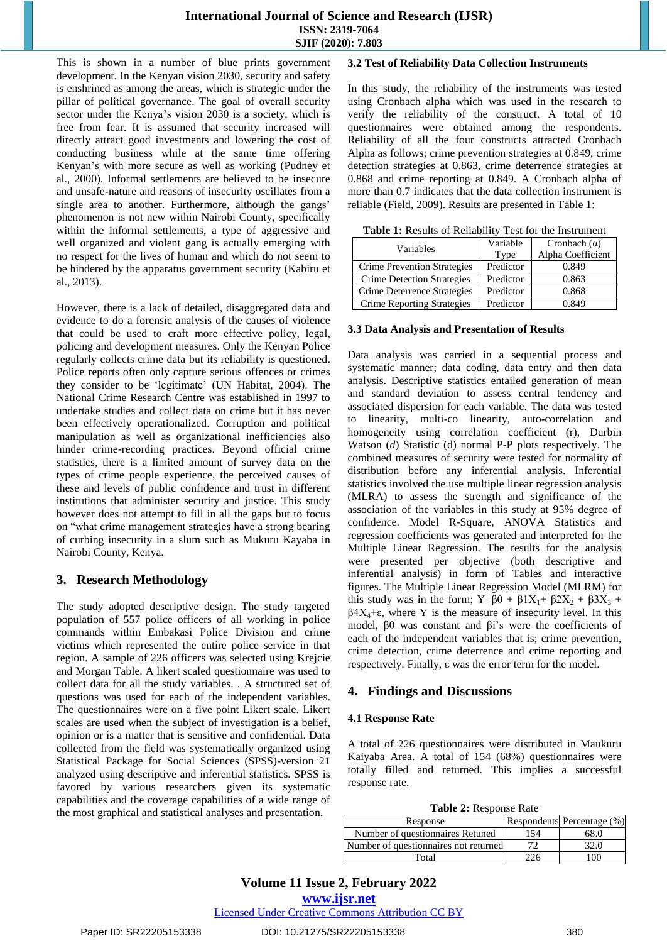This is shown in a number of blue prints government development. In the Kenyan vision 2030, security and safety is enshrined as among the areas, which is strategic under the pillar of political governance. The goal of overall security sector under the Kenya's vision 2030 is a society, which is free from fear. It is assumed that security increased will directly attract good investments and lowering the cost of conducting business while at the same time offering Kenyan's with more secure as well as working (Pudney et al., 2000). Informal settlements are believed to be insecure and unsafe-nature and reasons of insecurity oscillates from a single area to another. Furthermore, although the gangs' phenomenon is not new within Nairobi County, specifically within the informal settlements, a type of aggressive and well organized and violent gang is actually emerging with no respect for the lives of human and which do not seem to be hindered by the apparatus government security (Kabiru et al., 2013).

However, there is a lack of detailed, disaggregated data and evidence to do a forensic analysis of the causes of violence that could be used to craft more effective policy, legal, policing and development measures. Only the Kenyan Police regularly collects crime data but its reliability is questioned. Police reports often only capture serious offences or crimes they consider to be 'legitimate' (UN Habitat, 2004). The National Crime Research Centre was established in 1997 to undertake studies and collect data on crime but it has never been effectively operationalized. Corruption and political manipulation as well as organizational inefficiencies also hinder crime-recording practices. Beyond official crime statistics, there is a limited amount of survey data on the types of crime people experience, the perceived causes of these and levels of public confidence and trust in different institutions that administer security and justice. This study however does not attempt to fill in all the gaps but to focus on "what crime management strategies have a strong bearing of curbing insecurity in a slum such as Mukuru Kayaba in Nairobi County, Kenya.

# **3. Research Methodology**

The study adopted descriptive design. The study targeted population of 557 police officers of all working in police commands within Embakasi Police Division and crime victims which represented the entire police service in that region. A sample of 226 officers was selected using Krejcie and Morgan Table. A likert scaled questionnaire was used to collect data for all the study variables. . A structured set of questions was used for each of the independent variables. The questionnaires were on a five point Likert scale. Likert scales are used when the subject of investigation is a belief, opinion or is a matter that is sensitive and confidential. Data collected from the field was systematically organized using Statistical Package for Social Sciences (SPSS)-version 21 analyzed using descriptive and inferential statistics. SPSS is favored by various researchers given its systematic capabilities and the coverage capabilities of a wide range of the most graphical and statistical analyses and presentation.

# **3.2 Test of Reliability Data Collection Instruments**

In this study, the reliability of the instruments was tested using Cronbach alpha which was used in the research to verify the reliability of the construct. A total of 10 questionnaires were obtained among the respondents. Reliability of all the four constructs attracted Cronbach Alpha as follows; crime prevention strategies at 0.849, crime detection strategies at 0.863, crime deterrence strategies at 0.868 and crime reporting at 0.849. A Cronbach alpha of more than 0.7 indicates that the data collection instrument is reliable (Field, 2009). Results are presented in Table 1:

|  |  | Table 1: Results of Reliability Test for the Instrument |
|--|--|---------------------------------------------------------|
|  |  |                                                         |

| Variables                          | Variable  | Cronbach $(\alpha)$ |
|------------------------------------|-----------|---------------------|
|                                    | Type      | Alpha Coefficient   |
| <b>Crime Prevention Strategies</b> | Predictor | 0.849               |
| Crime Detection Strategies         | Predictor | 0.863               |
| Crime Deterrence Strategies        | Predictor | 0.868               |
| <b>Crime Reporting Strategies</b>  | Predictor | 0.849               |

## **3.3 Data Analysis and Presentation of Results**

Data analysis was carried in a sequential process and systematic manner; data coding, data entry and then data analysis. Descriptive statistics entailed generation of mean and standard deviation to assess central tendency and associated dispersion for each variable. The data was tested to linearity, multi-co linearity, auto-correlation and homogeneity using correlation coefficient (r), Durbin Watson (*d*) Statistic (d) normal P-P plots respectively. The combined measures of security were tested for normality of distribution before any inferential analysis. Inferential statistics involved the use multiple linear regression analysis (MLRA) to assess the strength and significance of the association of the variables in this study at 95% degree of confidence. Model R-Square, ANOVA Statistics and regression coefficients was generated and interpreted for the Multiple Linear Regression. The results for the analysis were presented per objective (both descriptive and inferential analysis) in form of Tables and interactive figures. The Multiple Linear Regression Model (MLRM) for this study was in the form;  $Y=\beta 0 + \beta 1X_1 + \beta 2X_2 + \beta 3X_3 +$  $\beta$ 4X<sub>4</sub>+ε, where Y is the measure of insecurity level. In this model, β0 was constant and βi's were the coefficients of each of the independent variables that is; crime prevention, crime detection, crime deterrence and crime reporting and respectively. Finally, ε was the error term for the model.

# **4. Findings and Discussions**

# **4.1 Response Rate**

A total of 226 questionnaires were distributed in Maukuru Kaiyaba Area. A total of 154 (68%) questionnaires were totally filled and returned. This implies a successful response rate.

**Table 2:** Response Rate

| Response                              |    | Respondents Percentage (%) |
|---------------------------------------|----|----------------------------|
| Number of questionnaires Retuned      | 54 |                            |
| Number of questionnaires not returned |    |                            |
| Total                                 |    | ሰበ                         |

# **Volume 11 Issue 2, February 2022**

**www.ijsr.net**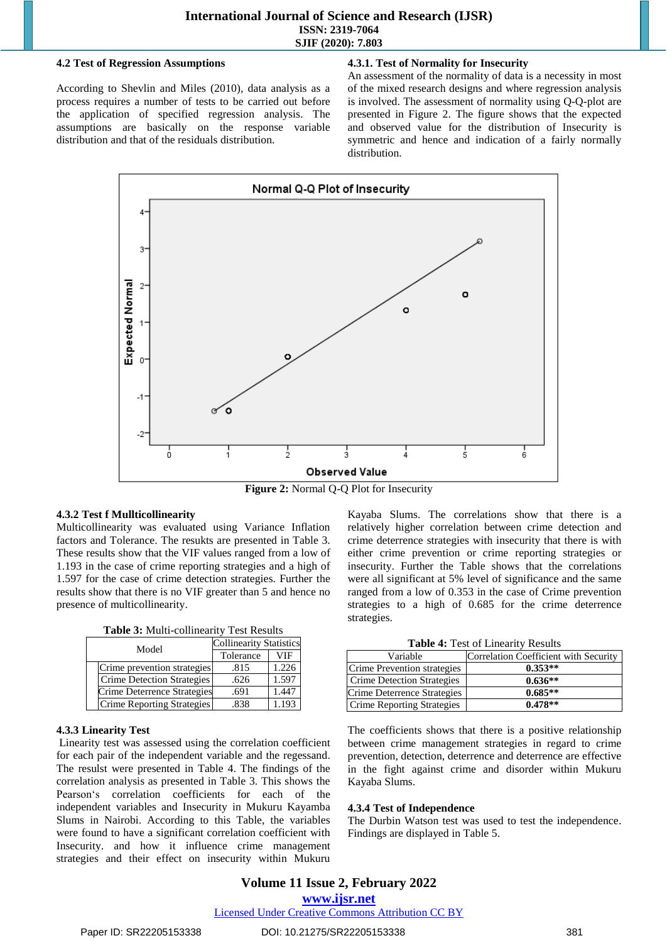#### **4.2 Test of Regression Assumptions**

According to Shevlin and Miles (2010), data analysis as a process requires a number of tests to be carried out before the application of specified regression analysis. The assumptions are basically on the response variable distribution and that of the residuals distribution.

## **4.3.1. Test of Normality for Insecurity**

An assessment of the normality of data is a necessity in most of the mixed research designs and where regression analysis is involved. The assessment of normality using Q-Q-plot are presented in Figure 2. The figure shows that the expected and observed value for the distribution of Insecurity is symmetric and hence and indication of a fairly normally distribution.



**Figure 2:** Normal Q-Q Plot for Insecurity

## **4.3.2 Test f Mullticollinearity**

Multicollinearity was evaluated using Variance Inflation factors and Tolerance. The resukts are presented in Table 3. These results show that the VIF values ranged from a low of 1.193 in the case of crime reporting strategies and a high of 1.597 for the case of crime detection strategies. Further the results show that there is no VIF greater than 5 and hence no presence of multicollinearity.

| Model                       | <b>Collinearity Statistics</b> |       |  |
|-----------------------------|--------------------------------|-------|--|
|                             | Tolerance                      | VIF   |  |
| Crime prevention strategies | .815                           | 1.226 |  |
| Crime Detection Strategies  | .626                           | 1.597 |  |
| Crime Deterrence Strategies | .691                           | 1.447 |  |
| Crime Reporting Strategies  | .838                           | 1.193 |  |

## **4.3.3 Linearity Test**

Linearity test was assessed using the correlation coefficient for each pair of the independent variable and the regessand. The resulst were presented in Table 4. The findings of the correlation analysis as presented in Table 3. This shows the Pearson's correlation coefficients for each of the independent variables and Insecurity in Mukuru Kayamba Slums in Nairobi. According to this Table, the variables were found to have a significant correlation coefficient with Insecurity. and how it influence crime management strategies and their effect on insecurity within Mukuru Kayaba Slums. The correlations show that there is a relatively higher correlation between crime detection and crime deterrence strategies with insecurity that there is with either crime prevention or crime reporting strategies or insecurity. Further the Table shows that the correlations were all significant at 5% level of significance and the same ranged from a low of 0.353 in the case of Crime prevention strategies to a high of 0.685 for the crime deterrence strategies.

|  |  |  |  | Table 4: Test of Linearity Results |  |
|--|--|--|--|------------------------------------|--|
|--|--|--|--|------------------------------------|--|

| Variable                          | Correlation Coefficient with Security |
|-----------------------------------|---------------------------------------|
| Crime Prevention strategies       | $0.353**$                             |
| <b>Crime Detection Strategies</b> | $0.636**$                             |
| Crime Deterrence Strategies       | $0.685**$                             |
| <b>Crime Reporting Strategies</b> | $0.478**$                             |

The coefficients shows that there is a positive relationship between crime management strategies in regard to crime prevention, detection, deterrence and deterrence are effective in the fight against crime and disorder within Mukuru Kayaba Slums.

## **4.3.4 Test of Independence**

The Durbin Watson test was used to test the independence. Findings are displayed in Table 5.

# **Volume 11 Issue 2, February 2022**

**www.ijsr.net**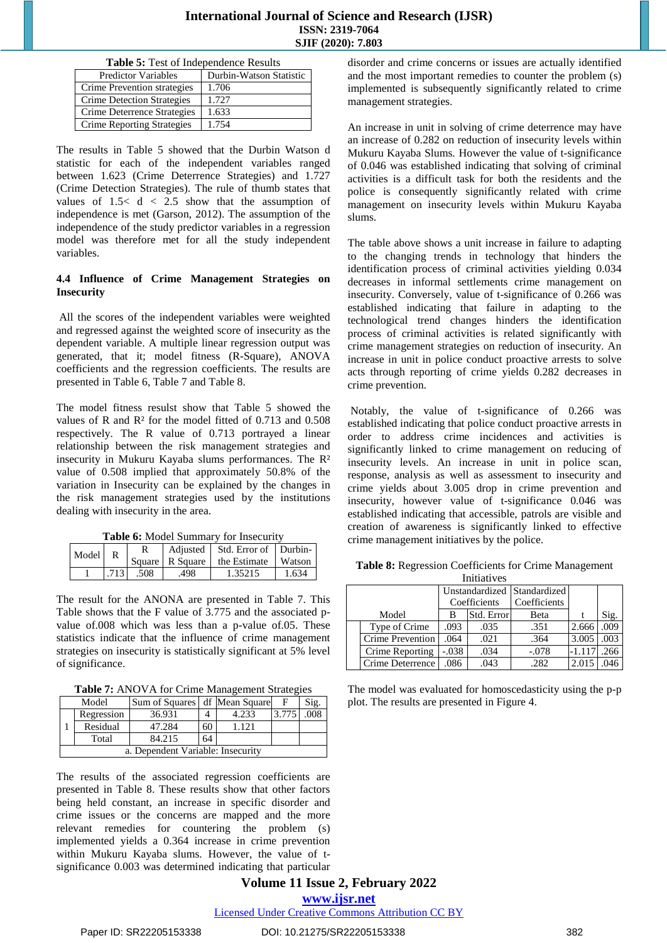|  | Table 5: Test of Independence Results |  |
|--|---------------------------------------|--|
|--|---------------------------------------|--|

| <b>Predictor Variables</b>        | Durbin-Watson Statistic |
|-----------------------------------|-------------------------|
| Crime Prevention strategies       | 1.706                   |
| Crime Detection Strategies        | 1.727                   |
| Crime Deterrence Strategies       | 1.633                   |
| <b>Crime Reporting Strategies</b> | 1.754                   |

The results in Table 5 showed that the Durbin Watson d statistic for each of the independent variables ranged between 1.623 (Crime Deterrence Strategies) and 1.727 (Crime Detection Strategies). The rule of thumb states that values of  $1.5 < d < 2.5$  show that the assumption of independence is met (Garson, 2012). The assumption of the independence of the study predictor variables in a regression model was therefore met for all the study independent variables.

#### **4.4 Influence of Crime Management Strategies on Insecurity**

All the scores of the independent variables were weighted and regressed against the weighted score of insecurity as the dependent variable. A multiple linear regression output was generated, that it; model fitness (R-Square), ANOVA coefficients and the regression coefficients. The results are presented in Table 6, Table 7 and Table 8.

The model fitness resulst show that Table 5 showed the values of R and R² for the model fitted of 0.713 and 0.508 respectively. The R value of 0.713 portrayed a linear relationship between the risk management strategies and insecurity in Mukuru Kayaba slums performances. The R² value of 0.508 implied that approximately 50.8% of the variation in Insecurity can be explained by the changes in the risk management strategies used by the institutions dealing with insecurity in the area.

**Table 6:** Model Summary for Insecurity

| Model |      |      | Adjusted Std. Error of Durbin-<br>Square   R Square   the Estimate   Watson |       |
|-------|------|------|-----------------------------------------------------------------------------|-------|
|       | .508 | .498 | 1.35215                                                                     | 1.634 |

The result for the ANONA are presented in Table 7. This Table shows that the F value of 3.775 and the associated pvalue of.008 which was less than a p-value of.05. These statistics indicate that the influence of crime management strategies on insecurity is statistically significant at 5% level of significance.

**Table 7:** ANOVA for Crime Management Strategies

| Model                             |            | Sum of Squares df Mean Square |    |       | F     | Sig. |
|-----------------------------------|------------|-------------------------------|----|-------|-------|------|
|                                   | Regression | 36.931                        |    | 4.233 | 3.775 |      |
|                                   | Residual   | 47.284                        | 60 | 1.121 |       |      |
|                                   | Total      | 84.215                        | 64 |       |       |      |
| a. Dependent Variable: Insecurity |            |                               |    |       |       |      |

The results of the associated regression coefficients are presented in Table 8. These results show that other factors being held constant, an increase in specific disorder and crime issues or the concerns are mapped and the more relevant remedies for countering the problem (s) implemented yields a 0.364 increase in crime prevention within Mukuru Kayaba slums. However, the value of tsignificance 0.003 was determined indicating that particular

disorder and crime concerns or issues are actually identified and the most important remedies to counter the problem (s) implemented is subsequently significantly related to crime management strategies.

An increase in unit in solving of crime deterrence may have an increase of 0.282 on reduction of insecurity levels within Mukuru Kayaba Slums. However the value of t-significance of 0.046 was established indicating that solving of criminal activities is a difficult task for both the residents and the police is consequently significantly related with crime management on insecurity levels within Mukuru Kayaba slums.

The table above shows a unit increase in failure to adapting to the changing trends in technology that hinders the identification process of criminal activities yielding 0.034 decreases in informal settlements crime management on insecurity. Conversely, value of t-significance of 0.266 was established indicating that failure in adapting to the technological trend changes hinders the identification process of criminal activities is related significantly with crime management strategies on reduction of insecurity. An increase in unit in police conduct proactive arrests to solve acts through reporting of crime yields 0.282 decreases in crime prevention.

Notably, the value of t-significance of 0.266 was established indicating that police conduct proactive arrests in order to address crime incidences and activities is significantly linked to crime management on reducing of insecurity levels. An increase in unit in police scan, response, analysis as well as assessment to insecurity and crime yields about 3.005 drop in crime prevention and insecurity, however value of t-significance 0.046 was established indicating that accessible, patrols are visible and creation of awareness is significantly linked to effective crime management initiatives by the police.

|       | <b>Initiatives</b> |                             |              |              |          |      |  |  |  |
|-------|--------------------|-----------------------------|--------------|--------------|----------|------|--|--|--|
|       |                    | Unstandardized Standardized |              |              |          |      |  |  |  |
|       |                    |                             | Coefficients | Coefficients |          |      |  |  |  |
| Model |                    | в                           | Std. Error   | Beta         |          | Sig. |  |  |  |
|       | Type of Crime      | .093                        | .035         | .351         | 2.666    | .009 |  |  |  |
|       | Crime Prevention   | .064                        | .021         | .364         | 3.005    | .003 |  |  |  |
|       | Crime Reporting    | $-.038$                     | .034         | $-.078$      | $-1.117$ | .266 |  |  |  |
|       | Crime Deterrence   | .086                        | .043         | .282         | 2.015    |      |  |  |  |

**Table 8:** Regression Coefficients for Crime Management

The model was evaluated for homoscedasticity using the p-p plot. The results are presented in Figure 4.

**Volume 11 Issue 2, February 2022 www.ijsr.net**